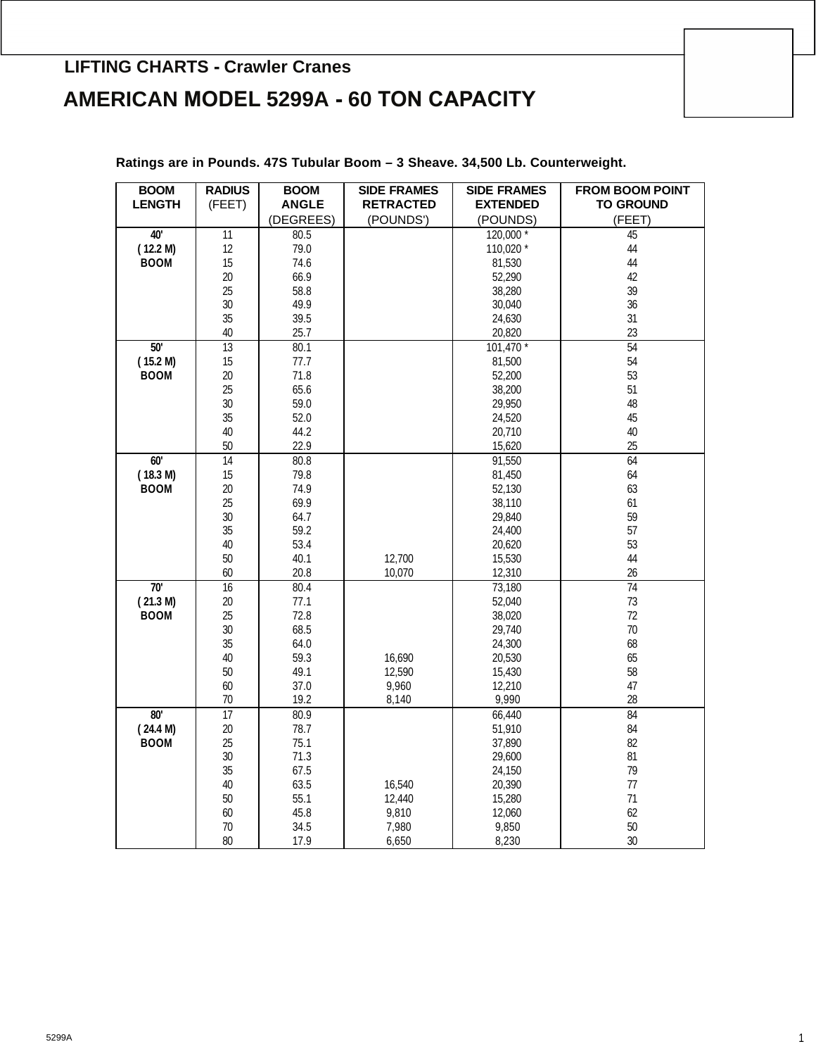## **AMERICAN MODEL 5299A - 60 TON CAPACITY LIFTING CHARTS - Crawler Cranes**

| <b>BOOM</b>   | <b>RADIUS</b>   | <b>BOOM</b>  | <b>SIDE FRAMES</b> | <b>SIDE FRAMES</b> | <b>FROM BOOM POINT</b> |
|---------------|-----------------|--------------|--------------------|--------------------|------------------------|
| <b>LENGTH</b> | (FEET)          | <b>ANGLE</b> | <b>RETRACTED</b>   | <b>EXTENDED</b>    | <b>TO GROUND</b>       |
|               |                 | (DEGREES)    | (POUNDS')          | (POUNDS)           | (FEET)                 |
| 40'           | $\overline{11}$ | 80.5         |                    | 120,000 *          | 45                     |
| (12.2 M)      | 12              | 79.0         |                    | 110,020 *          | 44                     |
| <b>BOOM</b>   | 15              | 74.6         |                    | 81,530             | 44                     |
|               | 20              | 66.9         |                    | 52,290             | 42                     |
|               | 25              | 58.8         |                    | 38,280             | 39                     |
|               | 30              | 49.9         |                    | 30,040             | 36                     |
|               | 35              | 39.5         |                    | 24,630             | 31                     |
|               | 40              | 25.7         |                    | 20,820             | 23                     |
| 50'           | 13              | 80.1         |                    | $101,470*$         | 54                     |
| (15.2 M)      | 15              | 77.7         |                    | 81,500             | 54                     |
| <b>BOOM</b>   | 20              | 71.8         |                    | 52,200             | 53                     |
|               | 25              | 65.6         |                    | 38,200             | 51                     |
|               | 30              | 59.0         |                    | 29,950             | 48                     |
|               | 35              | 52.0         |                    | 24,520             | 45                     |
|               | 40              | 44.2         |                    | 20,710             | 40                     |
|               | 50              | 22.9         |                    | 15,620             | 25                     |
| 60'           | $\overline{14}$ | 80.8         |                    | 91,550             | 64                     |
| (18.3 M)      | 15              | 79.8         |                    | 81,450             | 64                     |
| <b>BOOM</b>   | 20              | 74.9         |                    | 52,130             | 63                     |
|               | 25              | 69.9         |                    | 38,110             | 61                     |
|               | 30              | 64.7         |                    | 29,840             | 59                     |
|               | 35              | 59.2         |                    | 24,400             | 57                     |
|               | 40              | 53.4         |                    | 20,620             | 53                     |
|               | 50              | 40.1         | 12,700             | 15,530             | 44                     |
|               | 60              | 20.8         | 10,070             | 12,310             | 26                     |
| 70'           | $\overline{16}$ | 80.4         |                    | 73,180             | 74                     |
| (21.3 M)      | 20              | 77.1         |                    | 52,040             | 73                     |
| <b>BOOM</b>   | 25              | 72.8         |                    | 38,020             | 72                     |
|               | 30              | 68.5         |                    | 29,740             | 70                     |
|               | 35              | 64.0         |                    | 24,300             | 68                     |
|               | 40              | 59.3         | 16,690             | 20,530             | 65                     |
|               | 50              | 49.1         | 12,590             | 15,430             | 58                     |
|               | 60              | 37.0         | 9,960              | 12,210             | 47                     |
|               | 70              | 19.2         | 8,140              | 9,990              | 28                     |
| 80'           | 17              | 80.9         |                    | 66,440             | 84                     |
| (24.4 M)      | 20              | 78.7         |                    | 51,910             | 84                     |
| <b>BOOM</b>   | 25              | 75.1         |                    | 37,890             | 82                     |
|               | 30              | 71.3         |                    | 29,600             | 81                     |
|               | 35              | 67.5         |                    | 24,150             | 79                     |
|               | 40              | 63.5         | 16,540             | 20,390             | 77                     |
|               | 50              | 55.1         | 12,440             | 15,280             | 71                     |
|               | 60              | 45.8         | 9,810              | 12,060             | 62                     |
|               | 70              | 34.5         | 7,980              | 9,850              | 50                     |
|               | 80              | 17.9         | 6,650              | 8,230              | 30                     |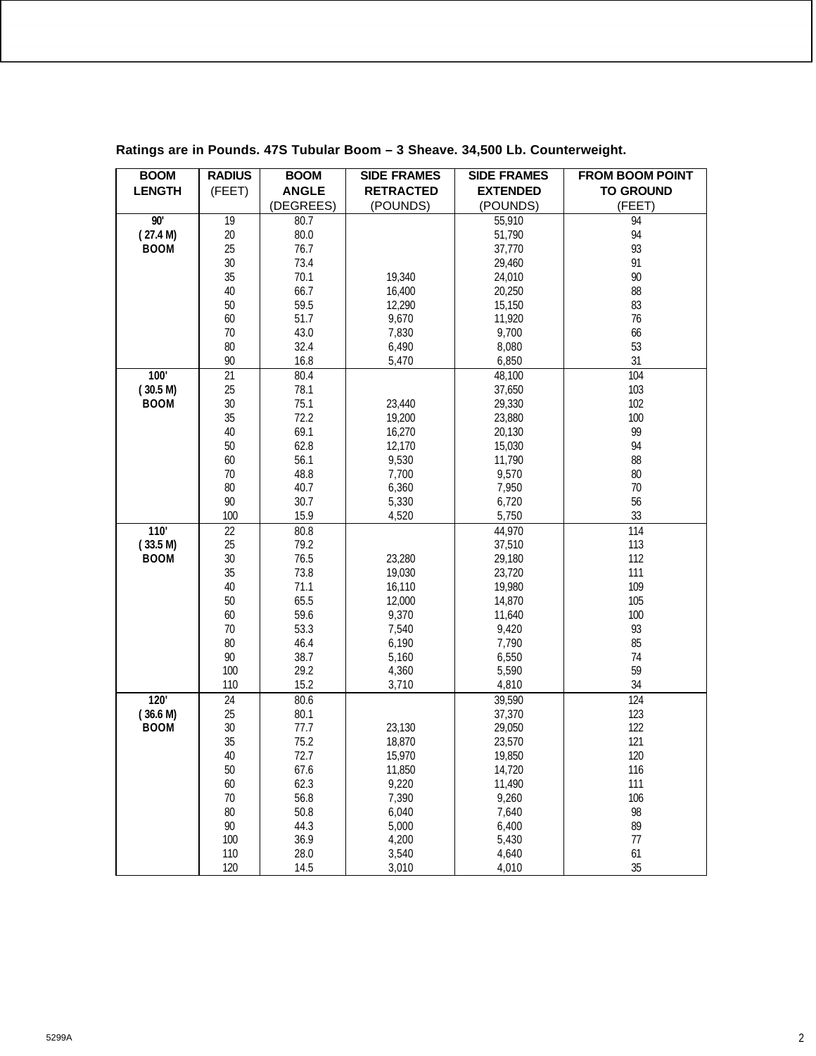| <b>BOOM</b>      | <b>RADIUS</b> | <b>BOOM</b>  | <b>SIDE FRAMES</b> | <b>SIDE FRAMES</b> | <b>FROM BOOM POINT</b> |
|------------------|---------------|--------------|--------------------|--------------------|------------------------|
| <b>LENGTH</b>    | (FEET)        | <b>ANGLE</b> | <b>RETRACTED</b>   | <b>EXTENDED</b>    | <b>TO GROUND</b>       |
|                  |               | (DEGREES)    | (POUNDS)           | (POUNDS)           | (FEET)                 |
| 90'              | 19            | 80.7         |                    | 55,910             | 94                     |
| (27.4 M)         | 20            | 80.0         |                    | 51,790             | 94                     |
| <b>BOOM</b>      | 25            | 76.7         |                    | 37,770             | 93                     |
|                  | 30            | 73.4         |                    | 29,460             | 91                     |
|                  | 35            | 70.1         | 19,340             | 24,010             | 90                     |
|                  | 40            | 66.7         | 16,400             | 20,250             | 88                     |
|                  | 50            | 59.5         | 12,290             | 15,150             | 83                     |
|                  | 60            | 51.7         | 9,670              | 11,920             | 76                     |
|                  | 70            | 43.0         | 7,830              | 9,700              | 66                     |
|                  | 80            | 32.4         | 6,490              | 8,080              | 53                     |
|                  | 90            | 16.8         | 5,470              | 6,850              | 31                     |
| 100'             | 21            | 80.4         |                    | 48,100             | 104                    |
| (30.5 M)         | 25            | 78.1         |                    | 37,650             | 103                    |
| <b>BOOM</b>      | $30\,$        | 75.1         | 23,440             | 29,330             | 102                    |
|                  | 35            | 72.2         | 19,200             | 23,880             | 100                    |
|                  | 40            | 69.1         | 16,270             | 20,130             | 99                     |
|                  | 50            | 62.8         | 12,170             | 15,030             | 94                     |
|                  | 60            | 56.1         | 9,530              | 11,790             | 88                     |
|                  | $70$          | 48.8         | 7,700              | 9,570              | 80                     |
|                  | 80            | 40.7         | 6,360              | 7,950              | 70                     |
|                  | 90            | 30.7         | 5,330              | 6,720              | 56                     |
|                  | 100           | 15.9         | 4,520              | 5,750              | 33                     |
| 110'             | 22            | 80.8         |                    | 44,970             | 114                    |
| (33.5 M)         | 25            | 79.2         |                    | 37,510             | 113                    |
| <b>BOOM</b>      | 30            | 76.5         | 23,280             | 29,180             | 112                    |
|                  | 35            | 73.8         | 19,030             | 23,720             | 111                    |
|                  | 40            | 71.1         | 16,110             | 19,980             | 109                    |
|                  | 50            | 65.5         | 12,000             | 14,870             | 105                    |
|                  | 60            | 59.6         | 9,370              | 11,640             | 100                    |
|                  | 70            | 53.3         | 7,540              | 9,420              | 93                     |
|                  | 80            | 46.4         | 6,190              | 7,790              | 85                     |
|                  | 90            | 38.7         | 5,160              | 6,550              | 74                     |
|                  | 100           | 29.2         | 4,360              | 5,590              | 59                     |
|                  | 110           | 15.2         | 3,710              | 4,810              | 34                     |
| $\overline{120}$ | 24            | 80.6         |                    | 39,590             | 124                    |
| (36.6 M)         | 25            | 80.1         |                    | 37,370             | 123                    |
| <b>BOOM</b>      | $30\,$        | 77.7         | 23,130             | 29,050             | 122                    |
|                  | 35            | 75.2         | 18,870             | 23,570             | 121                    |
|                  | 40            | 72.7         | 15,970             | 19,850             | 120                    |
|                  | 50            | 67.6         | 11,850             | 14,720             | 116                    |
|                  | 60            | 62.3         | 9,220              | 11,490             | 111                    |
|                  | $70$          | 56.8         | 7,390              | 9,260              | 106                    |
|                  | 80            | 50.8         | 6,040              | 7,640              | 98                     |
|                  | $90\,$        | 44.3         | 5,000              | 6,400              | 89                     |
|                  | 100           | 36.9         | 4,200              | 5,430              | 77                     |
|                  | 110           | 28.0         | 3,540              | 4,640              | 61                     |
|                  | 120           | 14.5         | 3,010              | 4,010              | 35                     |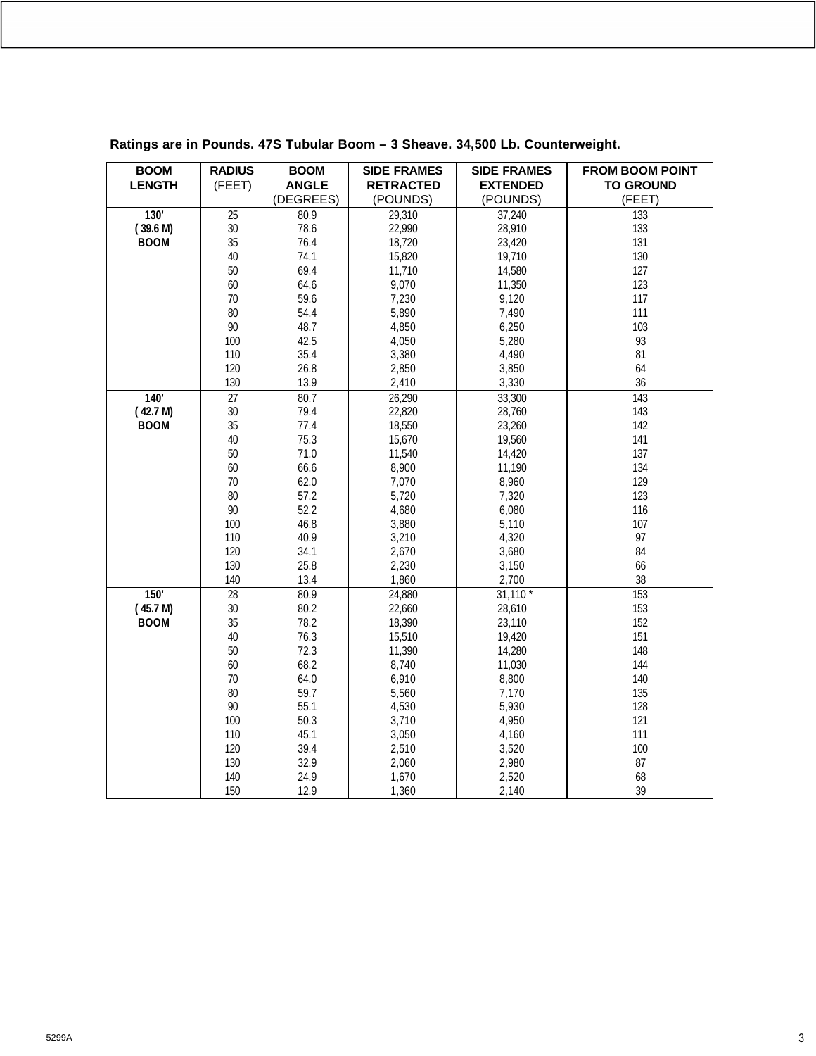| <b>BOOM</b>   | <b>RADIUS</b>   | <b>BOOM</b>  | <b>SIDE FRAMES</b> | <b>SIDE FRAMES</b> | <b>FROM BOOM POINT</b> |
|---------------|-----------------|--------------|--------------------|--------------------|------------------------|
| <b>LENGTH</b> | (FEET)          | <b>ANGLE</b> | <b>RETRACTED</b>   | <b>EXTENDED</b>    | <b>TO GROUND</b>       |
|               |                 | (DEGREES)    | (POUNDS)           | (POUNDS)           | (FEET)                 |
| 130'          | $\overline{25}$ | 80.9         | 29,310             | 37,240             | 133                    |
| (39.6 M)      | $30\,$          | 78.6         | 22,990             | 28,910             | 133                    |
| <b>BOOM</b>   | 35              | 76.4         | 18,720             | 23,420             | 131                    |
|               | 40              | 74.1         | 15,820             | 19,710             | 130                    |
|               | 50              | 69.4         | 11,710             | 14,580             | 127                    |
|               | 60              | 64.6         | 9,070              | 11,350             | 123                    |
|               | 70              | 59.6         | 7,230              | 9,120              | 117                    |
|               | 80              | 54.4         | 5,890              | 7,490              | 111                    |
|               | 90              | 48.7         | 4,850              | 6,250              | 103                    |
|               | 100             | 42.5         | 4,050              | 5,280              | 93                     |
|               | 110             | 35.4         | 3,380              | 4,490              | 81                     |
|               | 120             | 26.8         | 2,850              | 3,850              | 64                     |
|               | 130             | 13.9         | 2,410              | 3,330              | 36                     |
| 140'          | 27              | 80.7         | 26,290             | 33,300             | $\overline{143}$       |
| (42.7 M)      | 30              | 79.4         | 22,820             | 28,760             | 143                    |
| <b>BOOM</b>   | 35              | 77.4         | 18,550             | 23,260             | 142                    |
|               | 40              | 75.3         | 15,670             | 19,560             | 141                    |
|               | 50              | 71.0         | 11,540             | 14,420             | 137                    |
|               | 60              | 66.6         | 8,900              | 11,190             | 134                    |
|               | 70              | 62.0         | 7,070              | 8,960              | 129                    |
|               | 80              | 57.2         | 5,720              | 7,320              | 123                    |
|               | 90              | 52.2         | 4,680              | 6,080              | 116                    |
|               | 100             | 46.8         | 3,880              | 5,110              | 107                    |
|               | 110             | 40.9         | 3,210              | 4,320              | 97                     |
|               | 120             | 34.1         | 2,670              | 3,680              | 84                     |
|               | 130             | 25.8         | 2,230              | 3,150              | 66                     |
|               | 140             | 13.4         | 1,860              | 2,700              | 38                     |
| 150'          | $\overline{28}$ | 80.9         | 24,880             | $31,110*$          | 153                    |
| (45.7 M)      | 30              | 80.2         | 22,660             | 28,610             | 153                    |
| <b>BOOM</b>   | 35              | 78.2         | 18,390             | 23,110             | 152                    |
|               | 40              | 76.3         | 15,510             | 19,420             | 151                    |
|               | 50              | 72.3         | 11,390             | 14,280             | 148                    |
|               | 60              | 68.2         | 8,740              | 11,030             | 144                    |
|               | 70              | 64.0         | 6,910              | 8,800              | 140                    |
|               | 80              | 59.7         | 5,560              | 7,170              | 135                    |
|               | 90              | 55.1         | 4,530              | 5,930              | 128                    |
|               | 100             | 50.3         | 3,710              | 4,950              | 121                    |
|               | 110             | 45.1         | 3,050              | 4,160              | 111                    |
|               | 120             | 39.4         | 2,510              | 3,520              | 100                    |
|               | 130             | 32.9         | 2,060              | 2,980              | 87                     |
|               | 140             | 24.9         | 1,670              | 2,520              | 68                     |
|               | 150             | 12.9         | 1,360              | 2,140              | 39                     |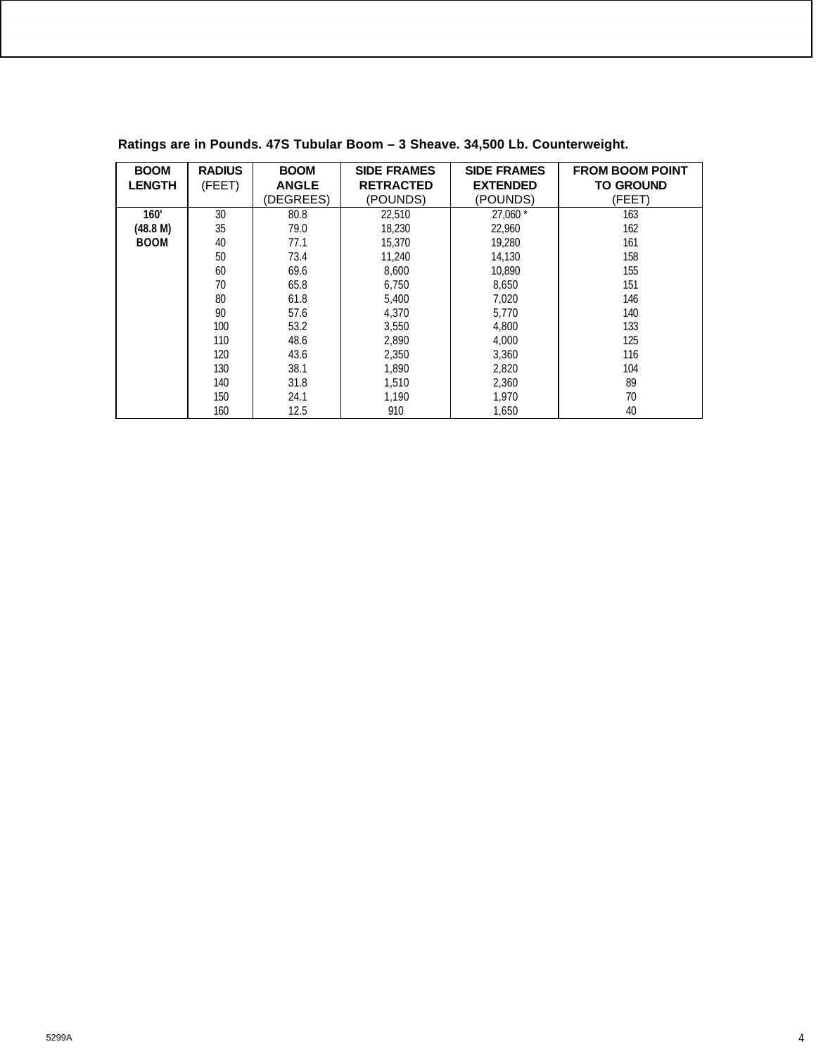| <b>BOOM</b>   | <b>RADIUS</b> | <b>BOOM</b>  | <b>SIDE FRAMES</b> | <b>SIDE FRAMES</b> | <b>FROM BOOM POINT</b> |
|---------------|---------------|--------------|--------------------|--------------------|------------------------|
| <b>LENGTH</b> | (FEET)        | <b>ANGLE</b> | <b>RETRACTED</b>   | <b>EXTENDED</b>    | <b>TO GROUND</b>       |
|               |               | (DEGREES)    | (POUNDS)           | (POUNDS)           | (FEET)                 |
| 160'          | 30            | 80.8         | 22,510             | $27,060*$          | 163                    |
| (48.8 M)      | 35            | 79.0         | 18.230             | 22.960             | 162                    |
| <b>BOOM</b>   | 40            | 77.1         | 15,370             | 19.280             | 161                    |
|               | 50            | 73.4         | 11.240             | 14.130             | 158                    |
|               | 60            | 69.6         | 8,600              | 10.890             | 155                    |
|               | 70            | 65.8         | 6,750              | 8,650              | 151                    |
|               | 80            | 61.8         | 5.400              | 7,020              | 146                    |
|               | 90            | 57.6         | 4,370              | 5.770              | 140                    |
|               | 100           | 53.2         | 3.550              | 4.800              | 133                    |
|               | 110           | 48.6         | 2,890              | 4,000              | 125                    |
|               | 120           | 43.6         | 2,350              | 3,360              | 116                    |
|               | 130           | 38.1         | 1,890              | 2,820              | 104                    |
|               | 140           | 31.8         | 1.510              | 2,360              | 89                     |
|               | 150           | 24.1         | 1,190              | 1,970              | 70                     |
|               | 160           | 12.5         | 910                | 1.650              | 40                     |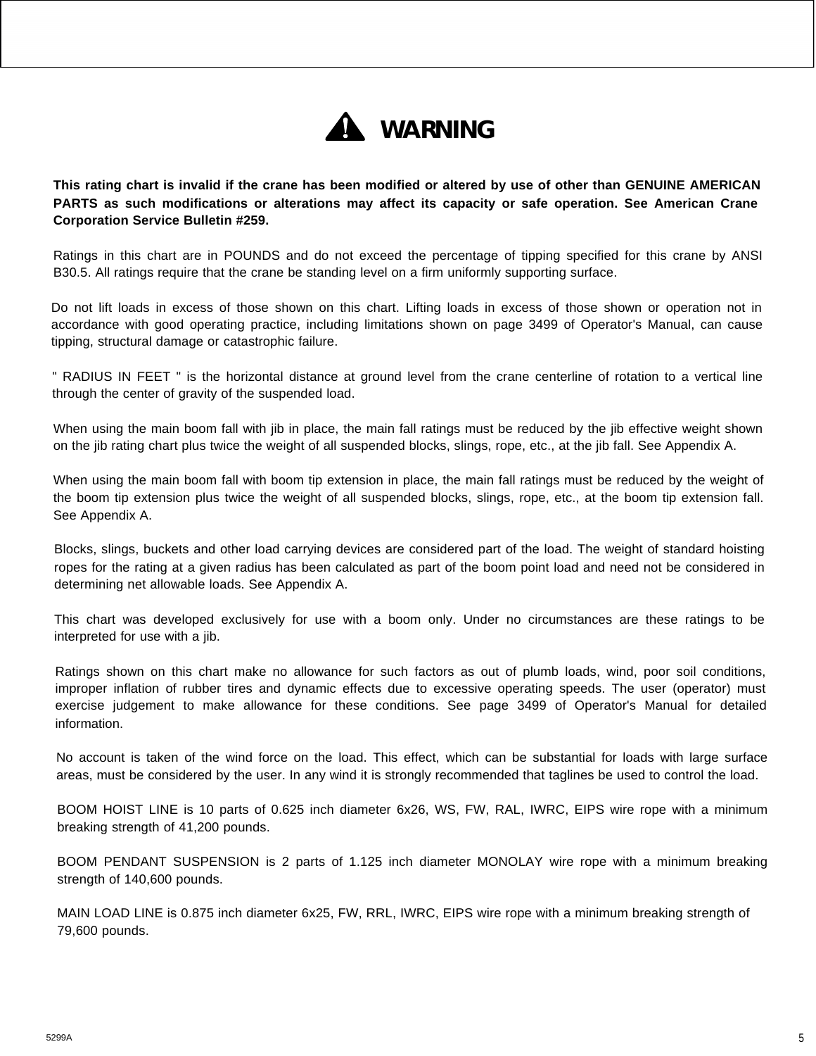

**This rating chart is invalid if the crane has been modified or altered by use of other than GENUINE AMERICAN PARTS as such modifications or alterations may affect its capacity or safe operation. See American Crane Corporation Service Bulletin #259.**

Ratings in this chart are in POUNDS and do not exceed the percentage of tipping specified for this crane by ANSI B30.5. All ratings require that the crane be standing level on a firm uniformly supporting surface.

Do not lift loads in excess of those shown on this chart. Lifting loads in excess of those shown or operation not in accordance with good operating practice, including limitations shown on page 3499 of Operator's Manual, can cause tipping, structural damage or catastrophic failure.

" RADIUS IN FEET " is the horizontal distance at ground level from the crane centerline of rotation to a vertical line through the center of gravity of the suspended load.

When using the main boom fall with jib in place, the main fall ratings must be reduced by the jib effective weight shown on the jib rating chart plus twice the weight of all suspended blocks, slings, rope, etc., at the jib fall. See Appendix A.

When using the main boom fall with boom tip extension in place, the main fall ratings must be reduced by the weight of the boom tip extension plus twice the weight of all suspended blocks, slings, rope, etc., at the boom tip extension fall. See Appendix A.

Blocks, slings, buckets and other load carrying devices are considered part of the load. The weight of standard hoisting ropes for the rating at a given radius has been calculated as part of the boom point load and need not be considered in determining net allowable loads. See Appendix A.

This chart was developed exclusively for use with a boom only. Under no circumstances are these ratings to be interpreted for use with a jib.

Ratings shown on this chart make no allowance for such factors as out of plumb loads, wind, poor soil conditions, improper inflation of rubber tires and dynamic effects due to excessive operating speeds. The user (operator) must exercise judgement to make allowance for these conditions. See page 3499 of Operator's Manual for detailed information.

No account is taken of the wind force on the load. This effect, which can be substantial for loads with large surface areas, must be considered by the user. In any wind it is strongly recommended that taglines be used to control the load.

BOOM HOIST LINE is 10 parts of 0.625 inch diameter 6x26, WS, FW, RAL, IWRC, EIPS wire rope with a minimum breaking strength of 41,200 pounds.

BOOM PENDANT SUSPENSION is 2 parts of 1.125 inch diameter MONOLAY wire rope with a minimum breaking strength of 140,600 pounds.

MAIN LOAD LINE is 0.875 inch diameter 6x25, FW, RRL, IWRC, EIPS wire rope with a minimum breaking strength of 79,600 pounds.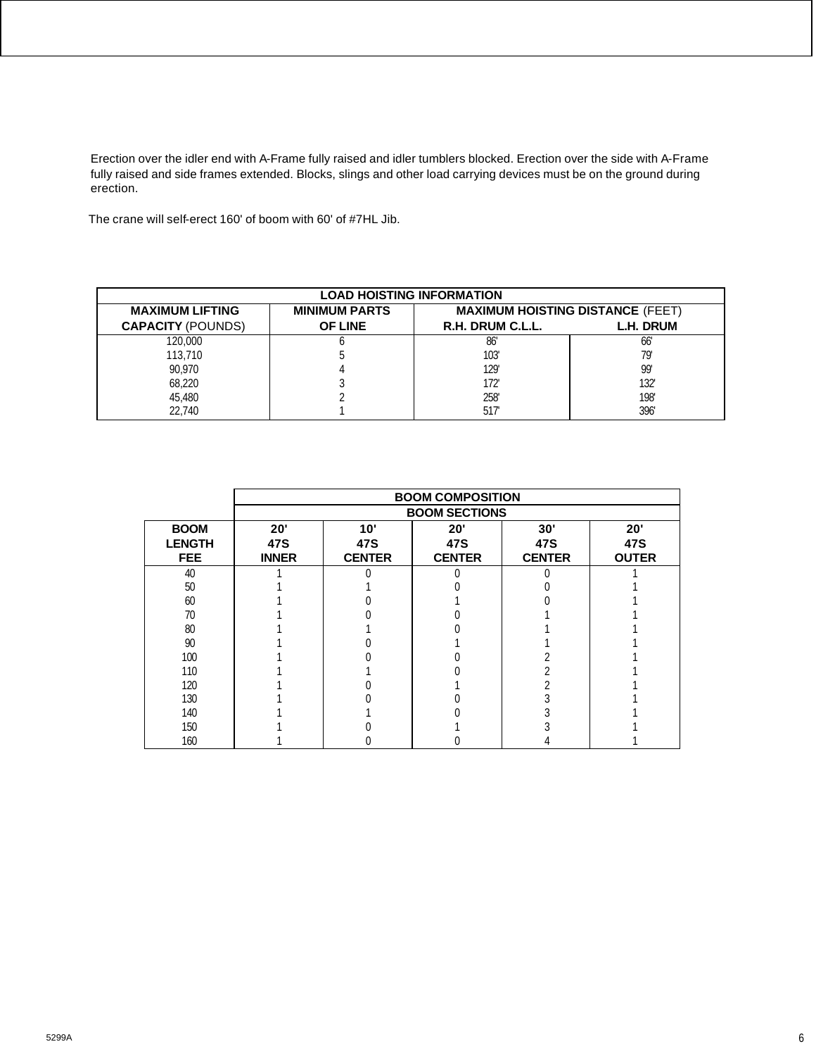Erection over the idler end with A-Frame fully raised and idler tumblers blocked. Erection over the side with A-Frame fully raised and side frames extended. Blocks, slings and other load carrying devices must be on the ground during erection.

The crane will self-erect 160' of boom with 60' of #7HL Jib.

| <b>LOAD HOISTING INFORMATION</b> |                      |                                         |           |  |  |  |
|----------------------------------|----------------------|-----------------------------------------|-----------|--|--|--|
| <b>MAXIMUM LIFTING</b>           | <b>MINIMUM PARTS</b> | <b>MAXIMUM HOISTING DISTANCE (FEET)</b> |           |  |  |  |
| <b>CAPACITY (POUNDS)</b>         | <b>OF LINE</b>       | R.H. DRUM C.L.L.                        | L.H. DRUM |  |  |  |
| 120,000                          |                      | 86                                      | 66'       |  |  |  |
| 113,710                          |                      | 103'                                    | 79'       |  |  |  |
| 90.970                           |                      | 129                                     | 99'       |  |  |  |
| 68,220                           |                      | 172'                                    | 132'      |  |  |  |
| 45.480                           |                      | 258                                     | 198'      |  |  |  |
| 22,740                           |                      | 517                                     | 396'      |  |  |  |

|               | <b>BOOM COMPOSITION</b> |               |               |               |              |  |  |
|---------------|-------------------------|---------------|---------------|---------------|--------------|--|--|
|               | <b>BOOM SECTIONS</b>    |               |               |               |              |  |  |
| <b>BOOM</b>   | 20'                     | 10'           | 20'           | 30'           | 20'          |  |  |
| <b>LENGTH</b> | 47S                     | 47S           | 47S           | 47S           | 47S          |  |  |
| <b>FEE</b>    | <b>INNER</b>            | <b>CENTER</b> | <b>CENTER</b> | <b>CENTER</b> | <b>OUTER</b> |  |  |
| 40            |                         |               |               |               |              |  |  |
| 50            |                         |               |               |               |              |  |  |
| 60            |                         |               |               |               |              |  |  |
| 70            |                         |               |               |               |              |  |  |
| 80            |                         |               |               |               |              |  |  |
| 90            |                         |               |               |               |              |  |  |
| 100           |                         |               |               |               |              |  |  |
| 110           |                         |               |               |               |              |  |  |
| 120           |                         |               |               |               |              |  |  |
| 130           |                         |               |               |               |              |  |  |
| 140           |                         |               |               |               |              |  |  |
| 150           |                         |               |               |               |              |  |  |
| 160           |                         |               |               |               |              |  |  |